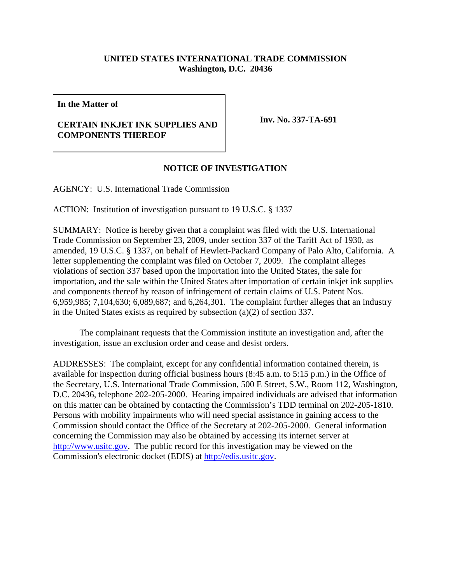## **UNITED STATES INTERNATIONAL TRADE COMMISSION Washington, D.C. 20436**

**In the Matter of**

## **CERTAIN INKJET INK SUPPLIES AND COMPONENTS THEREOF**

**Inv. No. 337-TA-691**

## **NOTICE OF INVESTIGATION**

AGENCY: U.S. International Trade Commission

ACTION: Institution of investigation pursuant to 19 U.S.C. § 1337

SUMMARY: Notice is hereby given that a complaint was filed with the U.S. International Trade Commission on September 23, 2009, under section 337 of the Tariff Act of 1930, as amended, 19 U.S.C. § 1337, on behalf of Hewlett-Packard Company of Palo Alto, California. A letter supplementing the complaint was filed on October 7, 2009. The complaint alleges violations of section 337 based upon the importation into the United States, the sale for importation, and the sale within the United States after importation of certain inkjet ink supplies and components thereof by reason of infringement of certain claims of U.S. Patent Nos. 6,959,985; 7,104,630; 6,089,687; and 6,264,301. The complaint further alleges that an industry in the United States exists as required by subsection (a)(2) of section 337.

The complainant requests that the Commission institute an investigation and, after the investigation, issue an exclusion order and cease and desist orders.

ADDRESSES: The complaint, except for any confidential information contained therein, is available for inspection during official business hours (8:45 a.m. to 5:15 p.m.) in the Office of the Secretary, U.S. International Trade Commission, 500 E Street, S.W., Room 112, Washington, D.C. 20436, telephone 202-205-2000. Hearing impaired individuals are advised that information on this matter can be obtained by contacting the Commission's TDD terminal on 202-205-1810. Persons with mobility impairments who will need special assistance in gaining access to the Commission should contact the Office of the Secretary at 202-205-2000. General information concerning the Commission may also be obtained by accessing its internet server at http://www.usitc.gov. The public record for this investigation may be viewed on the Commission's electronic docket (EDIS) at http://edis.usitc.gov.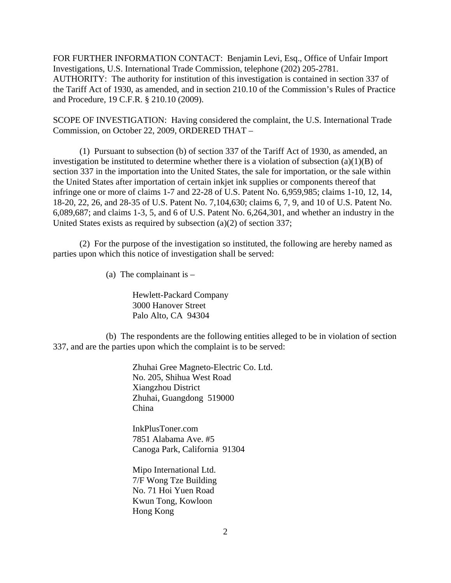FOR FURTHER INFORMATION CONTACT: Benjamin Levi, Esq., Office of Unfair Import Investigations, U.S. International Trade Commission, telephone (202) 205-2781. AUTHORITY: The authority for institution of this investigation is contained in section 337 of the Tariff Act of 1930, as amended, and in section 210.10 of the Commission's Rules of Practice and Procedure, 19 C.F.R. § 210.10 (2009).

SCOPE OF INVESTIGATION: Having considered the complaint, the U.S. International Trade Commission, on October 22, 2009, ORDERED THAT –

(1) Pursuant to subsection (b) of section 337 of the Tariff Act of 1930, as amended, an investigation be instituted to determine whether there is a violation of subsection (a)(1)(B) of section 337 in the importation into the United States, the sale for importation, or the sale within the United States after importation of certain inkjet ink supplies or components thereof that infringe one or more of claims 1-7 and 22-28 of U.S. Patent No. 6,959,985; claims 1-10, 12, 14, 18-20, 22, 26, and 28-35 of U.S. Patent No. 7,104,630; claims 6, 7, 9, and 10 of U.S. Patent No. 6,089,687; and claims 1-3, 5, and 6 of U.S. Patent No. 6,264,301, and whether an industry in the United States exists as required by subsection (a)(2) of section 337;

(2) For the purpose of the investigation so instituted, the following are hereby named as parties upon which this notice of investigation shall be served:

(a) The complainant is  $-$ 

Hewlett-Packard Company 3000 Hanover Street Palo Alto, CA 94304

(b) The respondents are the following entities alleged to be in violation of section 337, and are the parties upon which the complaint is to be served:

> Zhuhai Gree Magneto-Electric Co. Ltd. No. 205, Shihua West Road Xiangzhou District Zhuhai, Guangdong 519000 China

InkPlusToner.com 7851 Alabama Ave. #5 Canoga Park, California 91304

Mipo International Ltd. 7/F Wong Tze Building No. 71 Hoi Yuen Road Kwun Tong, Kowloon Hong Kong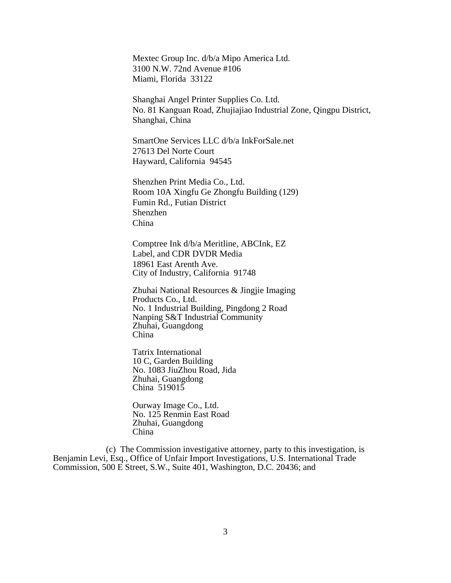Mextec Group Inc. d/b/a Mipo America Ltd. 3100 N.W. 72nd Avenue #106 Miami, Florida 33122

Shanghai Angel Printer Supplies Co. Ltd. No. 81 Kanguan Road, Zhujiajiao Industrial Zone, Qingpu District, Shanghai, China

SmartOne Services LLC d/b/a InkForSale.net 27613 Del Norte Court Hayward, California 94545

Shenzhen Print Media Co., Ltd. Room 10A Xingfu Ge Zhongfu Building (129) Fumin Rd., Futian District Shenzhen China

Comptree Ink d/b/a Meritline, ABCInk, EZ Label, and CDR DVDR Media 18961 East Arenth Ave. City of Industry, California 91748

Zhuhai National Resources & Jingjie Imaging Products Co., Ltd. No. 1 Industrial Building, Pingdong 2 Road Nanping S&T Industrial Community Zhuhai, Guangdong China

Tatrix International 10 C, Garden Building No. 1083 JiuZhou Road, Jida Zhuhai, Guangdong China 519015

Ourway Image Co., Ltd. No. 125 Renmin East Road Zhuhai, Guangdong China

(c) The Commission investigative attorney, party to this investigation, is Benjamin Levi, Esq., Office of Unfair Import Investigations, U.S. International Trade Commission, 500 E Street, S.W., Suite 401, Washington, D.C. 20436; and